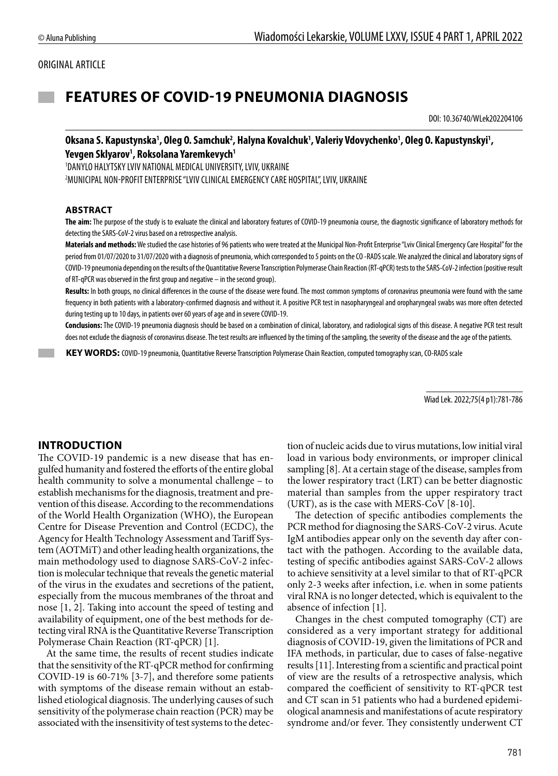### ORIGINAL ARTICLE

# **FEATURES OF COVID-19 PNEUMONIA DIAGNOSIS**

DOI: 10.36740/WLek202204106

### Oksana S. Kapustynska', Oleg O. Samchuk<sup>2</sup>, Halyna Kovalchuk', Valeriy Vdovychenko', Oleg O. Kapustynskyi', Yevgen Sklyarov<sup>1</sup>, Roksolana Yaremkevych<sup>1</sup>

1 DANYLO HALYTSKY LVIV NATIONAL MEDICAL UNIVERSITY, LVIV, UKRAINE 2 MUNICIPAL NON-PROFIT ENTERPRISE "LVIV CLINICAL EMERGENCY CARE HOSPITAL", LVIV, UKRAINE

#### **ABSTRACT**

**The aim:** The purpose of the study is to evaluate the clinical and laboratory features of COVID-19 pneumonia course, the diagnostic significance of laboratory methods for detecting the SARS-CoV-2 virus based on a retrospective analysis.

**Materials and methods:** We studied the case histories of 96 patients who were treated at the Municipal Non-Profit Enterprise "Lviv Clinical Emergency Care Hospital" for the period from 01/07/2020 to 31/07/2020 with a diagnosis of pneumonia, which corresponded to 5 points on the CO-RADS scale. We analyzed the clinical and laboratory signs of COVID-19 pneumonia depending on the results of the Quantitative Reverse Transcription Polymerase Chain Reaction (RT-qPCR) tests to the SARS-CoV-2 infection (positive result of RT-qPCR was observed in the first group and negative – in the second group).

**Results:** In both groups, no clinical differences in the course of the disease were found. The most common symptoms of coronavirus pneumonia were found with the same frequency in both patients with a laboratory-confirmed diagnosis and without it. A positive PCR test in nasopharyngeal and oropharyngeal swabs was more often detected during testing up to 10 days, in patients over 60 years of age and in severe COVID-19.

**Conclusions:** The COVID-19 pneumonia diagnosis should be based on a combination of clinical, laboratory, and radiological signs of this disease. A negative PCR test result does not exclude the diagnosis of coronavirus disease. The test results are influenced by the timing of the sampling, the severity of the disease and the age of the patients.

 **KEY WORDS:** COVID-19 pneumonia, Quantitative Reverse Transcription Polymerase Chain Reaction, computed tomography scan, CO-RADS scale

Wiad Lek. 2022;75(4 p1):781-786

### **INTRODUCTION**

The COVID-19 pandemic is a new disease that has engulfed humanity and fostered the efforts of the entire global health community to solve a monumental challenge – to establish mechanisms for the diagnosis, treatment and prevention of this disease. According to the recommendations of the World Health Organization (WHO), the European Centre for Disease Prevention and Control (ECDC), the Agency for Health Technology Assessment and Tariff System (AOTMiT) and other leading health organizations, the main methodology used to diagnose SARS-CoV-2 infection is molecular technique that reveals the genetic material of the virus in the exudates and secretions of the patient, especially from the mucous membranes of the throat and nose [1, 2]. Taking into account the speed of testing and availability of equipment, one of the best methods for detecting viral RNA is the Quantitative Reverse Transcription Polymerase Chain Reaction (RT-qPCR) [1].

At the same time, the results of recent studies indicate that the sensitivity of the RT-qPCR method for confirming COVID-19 is 60-71% [3-7], and therefore some patients with symptoms of the disease remain without an established etiological diagnosis. The underlying causes of such sensitivity of the polymerase chain reaction (PCR) may be associated with the insensitivity of test systems to the detection of nucleic acids due to virus mutations, low initial viral load in various body environments, or improper clinical sampling [8]. At a certain stage of the disease, samples from the lower respiratory tract (LRT) can be better diagnostic material than samples from the upper respiratory tract (URT), as is the case with MERS-CoV [8-10].

The detection of specific antibodies complements the PCR method for diagnosing the SARS-CoV-2 virus. Acute IgM antibodies appear only on the seventh day after contact with the pathogen. According to the available data, testing of specific antibodies against SARS-CoV-2 allows to achieve sensitivity at a level similar to that of RT-qPCR only 2-3 weeks after infection, i.e. when in some patients viral RNA is no longer detected, which is equivalent to the absence of infection [1].

Changes in the chest computed tomography (CT) are considered as a very important strategy for additional diagnosis of COVID-19, given the limitations of PCR and IFA methods, in particular, due to cases of false-negative results [11]. Interesting from a scientific and practical point of view are the results of a retrospective analysis, which compared the coefficient of sensitivity to RT-qPCR test and CT scan in 51 patients who had a burdened epidemiological anamnesis and manifestations of acute respiratory syndrome and/or fever. They consistently underwent CT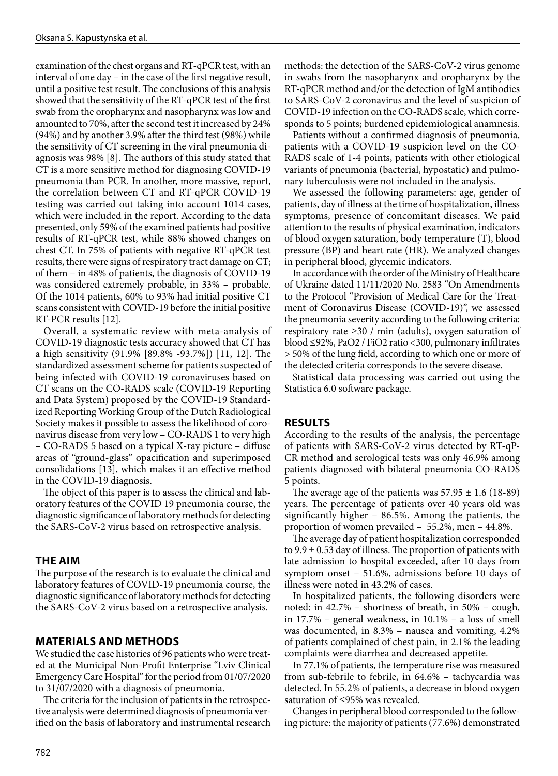examination of the chest organs and RT-qPCR test, with an interval of one day – in the case of the first negative result, until a positive test result. The conclusions of this analysis showed that the sensitivity of the RT-qPCR test of the first swab from the oropharynx and nasopharynx was low and amounted to 70%, after the second test it increased by 24% (94%) and by another 3.9% after the third test (98%) while the sensitivity of CT screening in the viral pneumonia diagnosis was 98% [8]. The authors of this study stated that CT is a more sensitive method for diagnosing COVID-19 pneumonia than PCR. In another, more massive, report, the correlation between CT and RT-qPCR COVID-19 testing was carried out taking into account 1014 cases, which were included in the report. According to the data presented, only 59% of the examined patients had positive results of RT-qPCR test, while 88% showed changes on chest CT. In 75% of patients with negative RT-qPCR test results, there were signs of respiratory tract damage on CT; of them – in 48% of patients, the diagnosis of COVID-19 was considered extremely probable, in 33% – probable. Of the 1014 patients, 60% to 93% had initial positive CT scans consistent with COVID-19 before the initial positive RT-PCR results [12].

Overall, a systematic review with meta-analysis of COVID-19 diagnostic tests accuracy showed that CT has a high sensitivity (91.9% [89.8% -93.7%]) [11, 12]. The standardized assessment scheme for patients suspected of being infected with COVID-19 coronaviruses based on CT scans on the CO-RADS scale (COVID-19 Reporting and Data System) proposed by the COVID-19 Standardized Reporting Working Group of the Dutch Radiological Society makes it possible to assess the likelihood of coronavirus disease from very low – CO-RADS 1 to very high – CO-RADS 5 based on a typical X-ray picture – diffuse areas of "ground-glass" opacification and superimposed consolidations [13], which makes it an effective method in the COVID-19 diagnosis.

The object of this paper is to assess the clinical and laboratory features of the COVID 19 pneumonia course, the diagnostic significance of laboratory methods for detecting the SARS-CoV-2 virus based on retrospective analysis.

### **THE AIM**

The purpose of the research is to evaluate the clinical and laboratory features of COVID-19 pneumonia course, the diagnostic significance of laboratory methods for detecting the SARS-CoV-2 virus based on a retrospective analysis.

### **MATERIALS AND METHODS**

We studied the case histories of 96 patients who were treated at the Municipal Non-Profit Enterprise "Lviv Clinical Emergency Care Hospital" for the period from 01/07/2020 to 31/07/2020 with a diagnosis of pneumonia.

The criteria for the inclusion of patients in the retrospective analysis were determined diagnosis of pneumonia verified on the basis of laboratory and instrumental research methods: the detection of the SARS-CoV-2 virus genome in swabs from the nasopharynx and oropharynx by the RT-qPCR method and/or the detection of IgM antibodies to SARS-CoV-2 coronavirus and the level of suspicion of COVID-19 infection on the CO-RADS scale, which corresponds to 5 points; burdened epidemiological anamnesis.

Patients without a confirmed diagnosis of pneumonia, patients with a COVID-19 suspicion level on the CO-RADS scale of 1-4 points, patients with other etiological variants of pneumonia (bacterial, hypostatic) and pulmonary tuberculosis were not included in the analysis.

We assessed the following parameters: age, gender of patients, day of illness at the time of hospitalization, illness symptoms, presence of concomitant diseases. We paid attention to the results of physical examination, indicators of blood oxygen saturation, body temperature (T), blood pressure (BP) and heart rate (HR). We analyzed changes in peripheral blood, glycemic indicators.

In accordance with the order of the Ministry of Healthcare of Ukraine dated 11/11/2020 No. 2583 "On Amendments to the Protocol "Provision of Medical Care for the Treatment of Coronavirus Disease (COVID-19)", we assessed the pneumonia severity according to the following criteria: respiratory rate ≥30 / min (adults), oxygen saturation of blood ≤92%, PaO2 / FiO2 ratio <300, pulmonary infiltrates > 50% of the lung field, according to which one or more of the detected criteria corresponds to the severe disease.

Statistical data processing was carried out using the Statistica 6.0 software package.

# **RESULTS**

According to the results of the analysis, the percentage of patients with SARS-CoV-2 virus detected by RT-qP-CR method and serological tests was only 46.9% among patients diagnosed with bilateral pneumonia CO-RADS 5 points.

The average age of the patients was  $57.95 \pm 1.6$  (18-89) years. The percentage of patients over 40 years old was significantly higher – 86.5%. Among the patients, the proportion of women prevailed – 55.2%, men – 44.8%.

The average day of patient hospitalization corresponded to  $9.9 \pm 0.53$  day of illness. The proportion of patients with late admission to hospital exceeded, after 10 days from symptom onset – 51.6%, admissions before 10 days of illness were noted in 43.2% of cases.

In hospitalized patients, the following disorders were noted: in 42.7% – shortness of breath, in 50% – cough, in 17.7% – general weakness, in 10.1% – a loss of smell was documented, in 8.3% – nausea and vomiting, 4.2% of patients complained of chest pain, in 2.1% the leading complaints were diarrhea and decreased appetite.

In 77.1% of patients, the temperature rise was measured from sub-febrile to febrile, in 64.6% – tachycardia was detected. In 55.2% of patients, a decrease in blood oxygen saturation of ≤95% was revealed.

Changes in peripheral blood corresponded to the following picture: the majority of patients (77.6%) demonstrated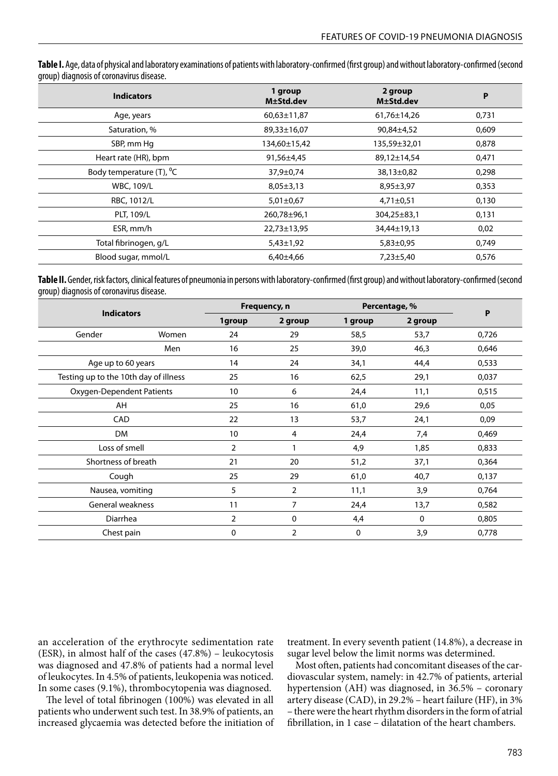**Table I.** Age, data of physical and laboratory examinations of patients with laboratory-confirmed (first group) and without laboratory-confirmed (second group) diagnosis of coronavirus disease.

| <b>Indicators</b>                    | 1 group<br>M±Std.dev | 2 group<br>M±Std.dev | P     |
|--------------------------------------|----------------------|----------------------|-------|
| Age, years                           | $60,63 \pm 11,87$    | 61,76±14,26          | 0,731 |
| Saturation, %                        | 89,33±16,07          | 90,84±4,52           | 0,609 |
| SBP, mm Hq                           | 134,60±15,42         | 135,59±32,01         | 0,878 |
| Heart rate (HR), bpm                 | 91,56±4,45           | 89,12±14,54          | 0,471 |
| Body temperature (T), <sup>o</sup> C | 37,9±0,74            | 38,13±0,82           | 0,298 |
| <b>WBC, 109/L</b>                    | $8,05 \pm 3,13$      | $8,95 \pm 3,97$      | 0,353 |
| RBC, 1012/L                          | $5,01\pm0,67$        | $4,71\pm0,51$        | 0,130 |
| PLT, 109/L                           | 260,78±96,1          | 304,25±83,1          | 0,131 |
| ESR, mm/h                            | 22,73±13,95          | 34,44±19,13          | 0,02  |
| Total fibrinogen, g/L                | $5,43\pm1,92$        | $5,83\pm0,95$        | 0,749 |
| Blood sugar, mmol/L                  | $6,40{\pm}4,66$      | $7,23\pm5,40$        | 0,576 |

**Table II.** Gender, risk factors, clinical features of pneumonia in persons with laboratory-confirmed (first group) and without laboratory-confirmed (second group) diagnosis of coronavirus disease.

| <b>Indicators</b>                     |       | Frequency, n   |                | Percentage, % |             | $\mathsf{P}$ |
|---------------------------------------|-------|----------------|----------------|---------------|-------------|--------------|
|                                       |       | 1group         | 2 group        | 1 group       | 2 group     |              |
| Gender                                | Women | 24             | 29             | 58,5          | 53,7        | 0,726        |
|                                       | Men   | 16             | 25             | 39,0          | 46,3        | 0,646        |
| Age up to 60 years                    |       | 14             | 24             | 34,1          | 44,4        | 0,533        |
| Testing up to the 10th day of illness |       | 25             | 16             | 62,5          | 29,1        | 0,037        |
| Oxygen-Dependent Patients             |       | 10             | 6              | 24,4          | 11,1        | 0,515        |
| AH                                    |       | 25             | 16             | 61,0          | 29,6        | 0,05         |
| CAD                                   |       | 22             | 13             | 53,7          | 24,1        | 0,09         |
| <b>DM</b>                             |       | 10             | 4              | 24,4          | 7,4         | 0,469        |
| Loss of smell                         |       | $\overline{2}$ |                | 4,9           | 1,85        | 0,833        |
| Shortness of breath                   |       | 21             | 20             | 51,2          | 37,1        | 0,364        |
| Cough                                 |       | 25             | 29             | 61,0          | 40,7        | 0,137        |
| Nausea, vomiting                      |       | 5              | $\overline{2}$ | 11,1          | 3,9         | 0,764        |
| General weakness                      |       | 11             | 7              | 24,4          | 13,7        | 0,582        |
| Diarrhea                              |       | $\overline{2}$ | $\mathbf 0$    | 4,4           | $\mathbf 0$ | 0,805        |
| Chest pain                            |       | 0              | 2              | 0             | 3,9         | 0,778        |

an acceleration of the erythrocyte sedimentation rate (ESR), in almost half of the cases (47.8%) – leukocytosis was diagnosed and 47.8% of patients had a normal level of leukocytes. In 4.5% of patients, leukopenia was noticed. In some cases (9.1%), thrombocytopenia was diagnosed.

The level of total fibrinogen (100%) was elevated in all patients who underwent such test. In 38.9% of patients, an increased glycaemia was detected before the initiation of treatment. In every seventh patient (14.8%), a decrease in sugar level below the limit norms was determined.

Most often, patients had concomitant diseases of the cardiovascular system, namely: in 42.7% of patients, arterial hypertension (AH) was diagnosed, in 36.5% – coronary artery disease (CAD), in 29.2% – heart failure (HF), in 3% – there were the heart rhythm disorders in the form of atrial fibrillation, in 1 case - dilatation of the heart chambers.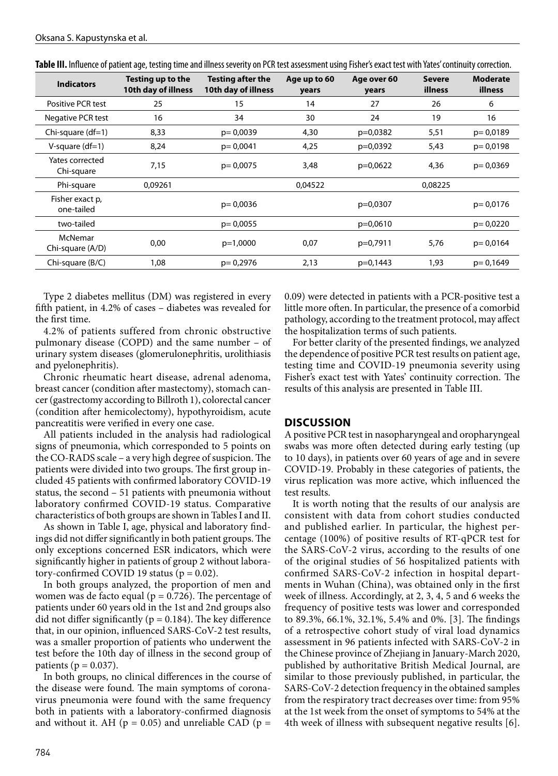| <b>Indicators</b>             | Testing up to the<br>10th day of illness | <b>Testing after the</b><br>10th day of illness | Age up to 60<br>years | Age over 60<br>years | <b>Severe</b><br>illness | <b>Moderate</b><br>illness |
|-------------------------------|------------------------------------------|-------------------------------------------------|-----------------------|----------------------|--------------------------|----------------------------|
| Positive PCR test             | 25                                       | 15                                              | 14                    | 27                   | 26                       | 6                          |
| Negative PCR test             | 16                                       | 34                                              | 30                    | 24                   | 19                       | 16                         |
| Chi-square $(df=1)$           | 8,33                                     | $p = 0.0039$                                    | 4,30                  | $p=0,0382$           | 5,51                     | $p = 0,0189$               |
| V-square $(df=1)$             | 8,24                                     | $p = 0.0041$                                    | 4,25                  | p=0,0392             | 5,43                     | $p = 0.0198$               |
| Yates corrected<br>Chi-square | 7,15                                     | $p = 0.0075$                                    | 3,48                  | $p=0,0622$           | 4,36                     | $p = 0.0369$               |
| Phi-square                    | 0.09261                                  |                                                 | 0.04522               |                      | 0,08225                  |                            |
| Fisher exact p,<br>one-tailed |                                          | $p = 0.0036$                                    |                       | $p=0,0307$           |                          | $p = 0.0176$               |
| two-tailed                    |                                          | $p = 0.0055$                                    |                       | $p=0,0610$           |                          | $p = 0,0220$               |
| McNemar<br>Chi-square (A/D)   | 0,00                                     | $p=1,0000$                                      | 0,07                  | p=0,7911             | 5,76                     | $p = 0,0164$               |
| Chi-square (B/C)              | 1,08                                     | $p = 0.2976$                                    | 2,13                  | $p=0,1443$           | 1,93                     | $p = 0.1649$               |

Table III. Influence of patient age, testing time and illness severity on PCR test assessment using Fisher's exact test with Yates' continuity correction.

Type 2 diabetes mellitus (DM) was registered in every fifth patient, in 4.2% of cases – diabetes was revealed for the first time.

4.2% of patients suffered from chronic obstructive pulmonary disease (COPD) and the same number – of urinary system diseases (glomerulonephritis, urolithiasis and pyelonephritis).

Chronic rheumatic heart disease, adrenal adenoma, breast cancer (condition after mastectomy), stomach cancer (gastrectomy according to Billroth 1), colorectal cancer (condition after hemicolectomy), hypothyroidism, acute pancreatitis were verified in every one case.

All patients included in the analysis had radiological signs of pneumonia, which corresponded to 5 points on the CO-RADS scale – a very high degree of suspicion. The patients were divided into two groups. The first group included 45 patients with confirmed laboratory COVID-19 status, the second – 51 patients with pneumonia without laboratory confirmed COVID-19 status. Comparative characteristics of both groups are shown in Tables I and II.

As shown in Table I, age, physical and laboratory findings did not differ significantly in both patient groups. The only exceptions concerned ESR indicators, which were significantly higher in patients of group 2 without laboratory-confirmed COVID 19 status ( $p = 0.02$ ).

In both groups analyzed, the proportion of men and women was de facto equal ( $p = 0.726$ ). The percentage of patients under 60 years old in the 1st and 2nd groups also did not differ significantly ( $p = 0.184$ ). The key difference that, in our opinion, influenced SARS-CoV-2 test results, was a smaller proportion of patients who underwent the test before the 10th day of illness in the second group of patients ( $p = 0.037$ ).

In both groups, no clinical differences in the course of the disease were found. The main symptoms of coronavirus pneumonia were found with the same frequency both in patients with a laboratory-confirmed diagnosis and without it. AH ( $p = 0.05$ ) and unreliable CAD ( $p =$ 

0.09) were detected in patients with a PCR-positive test a little more often. In particular, the presence of a comorbid pathology, according to the treatment protocol, may affect the hospitalization terms of such patients.

For better clarity of the presented findings, we analyzed the dependence of positive PCR test results on patient age, testing time and COVID-19 pneumonia severity using Fisher's exact test with Yates' continuity correction. The results of this analysis are presented in Table III.

#### **DISCUSSION**

A positive PCR test in nasopharyngeal and oropharyngeal swabs was more often detected during early testing (up to 10 days), in patients over 60 years of age and in severe COVID-19. Probably in these categories of patients, the virus replication was more active, which influenced the test results.

It is worth noting that the results of our analysis are consistent with data from cohort studies conducted and published earlier. In particular, the highest percentage (100%) of positive results of RT-qPCR test for the SARS-CoV-2 virus, according to the results of one of the original studies of 56 hospitalized patients with confirmed SARS-CoV-2 infection in hospital departments in Wuhan (China), was obtained only in the first week of illness. Accordingly, at 2, 3, 4, 5 and 6 weeks the frequency of positive tests was lower and corresponded to 89.3%, 66.1%, 32.1%, 5.4% and 0%. [3]. The findings of a retrospective cohort study of viral load dynamics assessment in 96 patients infected with SARS-CoV-2 in the Chinese province of Zhejiang in January-March 2020, published by authoritative British Medical Journal, are similar to those previously published, in particular, the SARS-CoV-2 detection frequency in the obtained samples from the respiratory tract decreases over time: from 95% at the 1st week from the onset of symptoms to 54% at the 4th week of illness with subsequent negative results [6].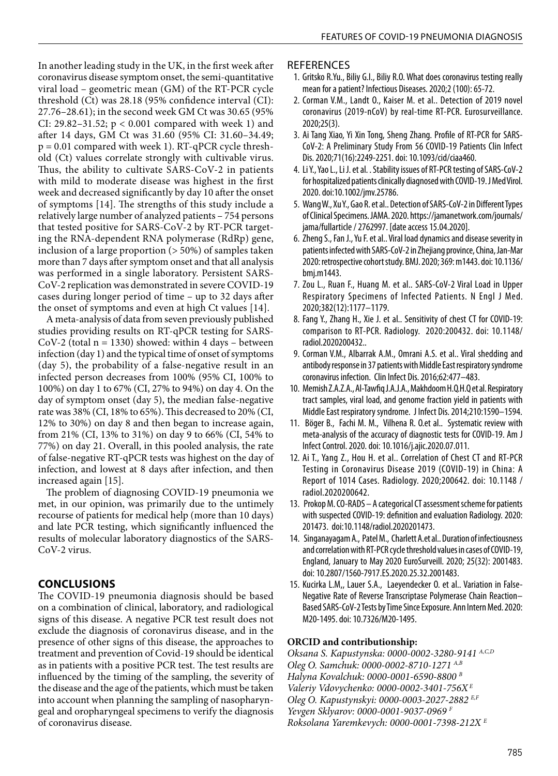In another leading study in the UK, in the first week after coronavirus disease symptom onset, the semi-quantitative viral load – geometric mean (GM) of the RT-PCR cycle threshold (Ct) was 28.18 (95% confidence interval (CI): 27.76–28.61); in the second week GM Ct was 30.65 (95% CI: 29.82–31.52; p < 0.001 compared with week 1) and after 14 days, GM Ct was 31.60 (95% CI: 31.60–34.49;  $p = 0.01$  compared with week 1). RT-qPCR cycle threshold (Ct) values correlate strongly with cultivable virus. Thus, the ability to cultivate SARS-CoV-2 in patients with mild to moderate disease was highest in the first week and decreased significantly by day 10 after the onset of symptoms [14]. The strengths of this study include a relatively large number of analyzed patients – 754 persons that tested positive for SARS-CoV-2 by RT-PCR targeting the RNA-dependent RNA polymerase (RdRp) gene, inclusion of a large proportion (> 50%) of samples taken more than 7 days after symptom onset and that all analysis was performed in a single laboratory. Persistent SARS-CoV-2 replication was demonstrated in severe COVID-19 cases during longer period of time – up to 32 days after the onset of symptoms and even at high Ct values [14].

A meta-analysis of data from seven previously published studies providing results on RT-qPCR testing for SARS-CoV-2 (total  $n = 1330$ ) showed: within 4 days – between infection (day 1) and the typical time of onset of symptoms (day 5), the probability of a false-negative result in an infected person decreases from 100% (95% CI, 100% to 100%) on day 1 to 67% (CI, 27% to 94%) on day 4. On the day of symptom onset (day 5), the median false-negative rate was 38% (CI, 18% to 65%). This decreased to 20% (CI, 12% to 30%) on day 8 and then began to increase again, from 21% (CI, 13% to 31%) on day 9 to 66% (CI, 54% to 77%) on day 21. Overall, in this pooled analysis, the rate of false-negative RT-qPCR tests was highest on the day of infection, and lowest at 8 days after infection, and then increased again [15].

The problem of diagnosing COVID-19 pneumonia we met, in our opinion, was primarily due to the untimely recourse of patients for medical help (more than 10 days) and late PCR testing, which significantly influenced the results of molecular laboratory diagnostics of the SARS-CoV-2 virus.

# **CONCLUSIONS**

The COVID-19 pneumonia diagnosis should be based on a combination of clinical, laboratory, and radiological signs of this disease. A negative PCR test result does not exclude the diagnosis of coronavirus disease, and in the presence of other signs of this disease, the approaches to treatment and prevention of Covid-19 should be identical as in patients with a positive PCR test. The test results are influenced by the timing of the sampling, the severity of the disease and the age of the patients, which must be taken into account when planning the sampling of nasopharyngeal and oropharyngeal specimens to verify the diagnosis of coronavirus disease.

### **REFERENCES**

- 1. Gritsko R.Yu., Biliy G.І., Biliy R.O. What does coronavirus testing really mean for a patient? Infectious Diseases. 2020;2 (100): 65-72.
- 2. Corman V.M., Landt O., Kaiser M. et al.. Detection of 2019 novel coronavirus (2019-nCoV) by real-time RT-PCR. Eurosurveillance. 2020;25(3).
- 3. Ai Tang Xiao, Yi Xin Tong, Sheng Zhang. Profile of RT-PCR for SARS-CoV-2: A Preliminary Study From 56 COVID-19 Patients Clin Infect Dis. 2020;71(16):2249-2251. doi: 10.1093/cid/ciaa460.
- 4. Li Y., Yao L., Li J. et al. . Stability issues of RT-PCR testing of SARS-CoV-2 for hospitalized patients clinically diagnosed with COVID-19. J Med Virol. 2020. doi:10.1002/jmv.25786.
- 5. Wang W., Xu Y., Gao R. et al.. Detection of SARS-CoV-2 in Different Types of Clinical Specimens. JAMA. 2020. https://jamanetwork.com/journals/ jama/fullarticle / 2762997. [date access 15.04.2020].
- 6. Zheng S., Fan J., Yu F. et al.. Viral load dynamics and disease severity in patients infected with SARS-CoV-2 in Zhejiang province, China, Jan-Mar 2020: retrospective cohort study. BMJ. 2020; 369: m1443. doi: 10.1136/ bmj.m1443.
- 7. Zou L., Ruan F., Huang M. et al.. SARS-CoV-2 Viral Load in Upper Respiratory Specimens of Infected Patients. N Engl J Med. 2020;382(12):1177–1179.
- 8. Fang Y., Zhang H., Xie J. et al.. Sensitivity of chest CT for COVID-19: comparison to RT-PCR. Radiology. 2020:200432. doi: 10.1148/ radiol.2020200432..
- 9. Corman V.M., Albarrak A.M., Omrani A.S. et al.. Viral shedding and antibody response in 37 patients with Middle East respiratory syndrome coronavirus infection. Clin Infect Dis. 2016;62:477–483.
- 10. Memish Z.A.Z.A., Al-Tawfiq J.A.J.A., Makhdoom H.Q.H.Q et al. Respiratory tract samples, viral load, and genome fraction yield in patients with Middle East respiratory syndrome. J Infect Dis. 2014;210:1590–1594.
- 11. Böger B., Fachi M. M., Vilhena R. O.et al.. Systematic review with meta-analysis of the accuracy of diagnostic tests for COVID-19. Am J Infect Control. 2020. doi: 10.1016/j.ajic.2020.07.011.
- 12. Ai T., Yang Z., Hou H. et al.. Correlation of Chest CT and RT-PCR Testing in Coronavirus Disease 2019 (COVID-19) in China: A Report of 1014 Cases. Radiology. 2020;200642. doi: 10.1148 / radiol.2020200642.
- 13. Prokop M. CO-RADS A categorical CT assessment scheme for patients with suspected COVID-19: definition and evaluation Radiology. 2020: 201473. doi:10.1148/radiol.2020201473.
- 14. Singanayagam A., Patel M., Charlett A.et al.. Duration of infectiousness and correlation with RT-PCR cycle threshold values in cases of COVID-19, England, January to May 2020 EuroSurveill. 2020; 25(32): 2001483. doi: 10.2807/1560-7917.ES.2020.25.32.2001483.
- 15. Kucirka L.M,, Lauer S.A., Laeyendecker O. et al.. Variation in False-Negative Rate of Reverse Transcriptase Polymerase Chain Reaction– Based SARS-CoV-2 Tests by Time Since Exposure. Ann Intern Med. 2020: M20-1495. doi: 10.7326/M20-1495.

### **ORCID and contributionship:**

*Oksana S. Kapustynska: 0000-0002-3280-9141 A,C,D Оleg O. Samchuk: 0000-0002-8710-1271 A,B Halyna Kovalchuk: 0000-0001-6590-8800 B Valeriy Vdovychenko: 0000-0002-3401-756X E Оleg O. Kapustynskyi: 0000-0003-2027-2882 E,F Yevgen Sklyarov: 0000-0001-9037-0969 F Roksolana Yaremkevych: 0000-0001-7398-212X E*